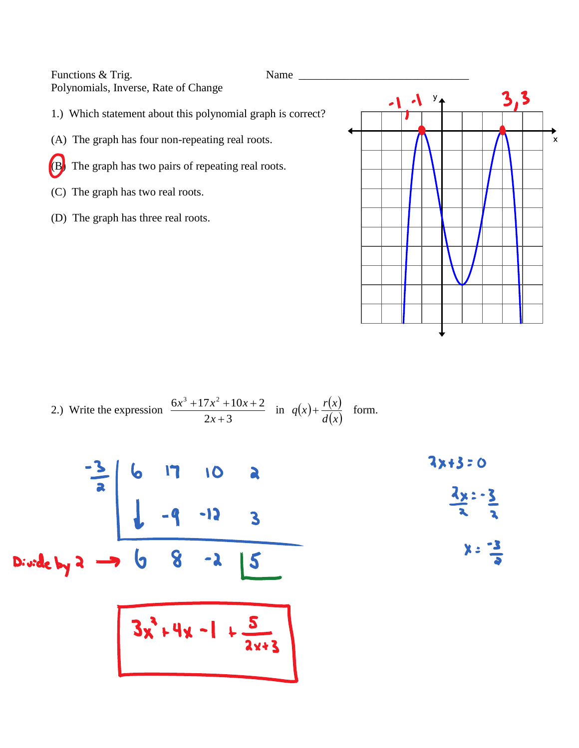Functions & Trig. Name Polynomials, Inverse, Rate of Change

1.) Which statement about this polynomial graph is correct?

- (A) The graph has four non-repeating real roots.
- (B) The graph has two pairs of repeating real roots.
- (C) The graph has two real roots.
- (D) The graph has three real roots.



2.) Write the expression 
$$
\frac{6x^3 + 17x^2 + 10x + 2}{2x + 3}
$$
 in  $q(x) + \frac{r(x)}{d(x)}$  form.

$$
\frac{-3}{2}
$$
 6 17 10 a  
\n
$$
\frac{3x+3=0}{2}
$$
  
\n
$$
\frac{3x-3}{2}
$$
  
\nDivde by 2  $\rightarrow$  6 8 -2 15  
\n3x<sup>2</sup>+4x-1 + 5  
\n3x<sup>2</sup>+4x-1 + 5  
\n2x+3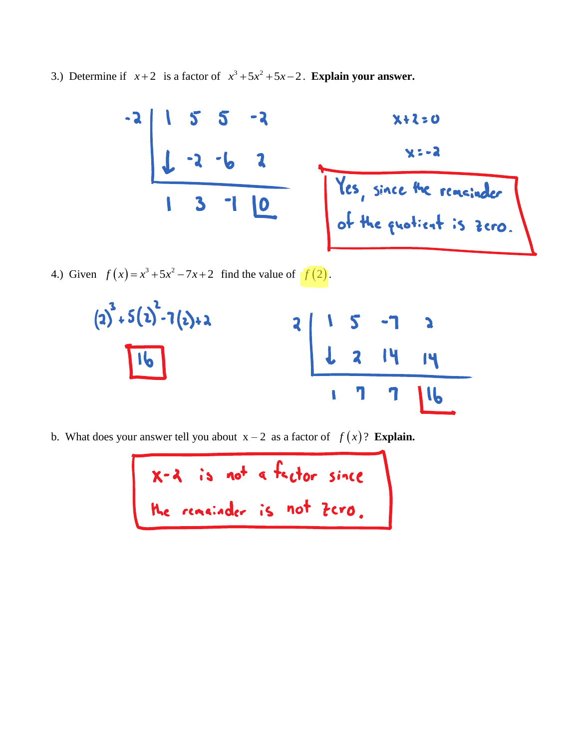3.) Determine if  $x+2$  is a factor of  $x^3+5x^2+5x-2$ . **Explain your answer.** 



4.) Given  $f(x) = x^3 + 5x^2 - 7x + 2$  find the value of  $f(2)$ .  $f(x) = x^3 + 5x^2 - 7x + 2$  find the value of  $f(2)$ .



b. What does your answer tell you about  $x - 2$  as a factor of  $f(x)$ ? **Explain.**